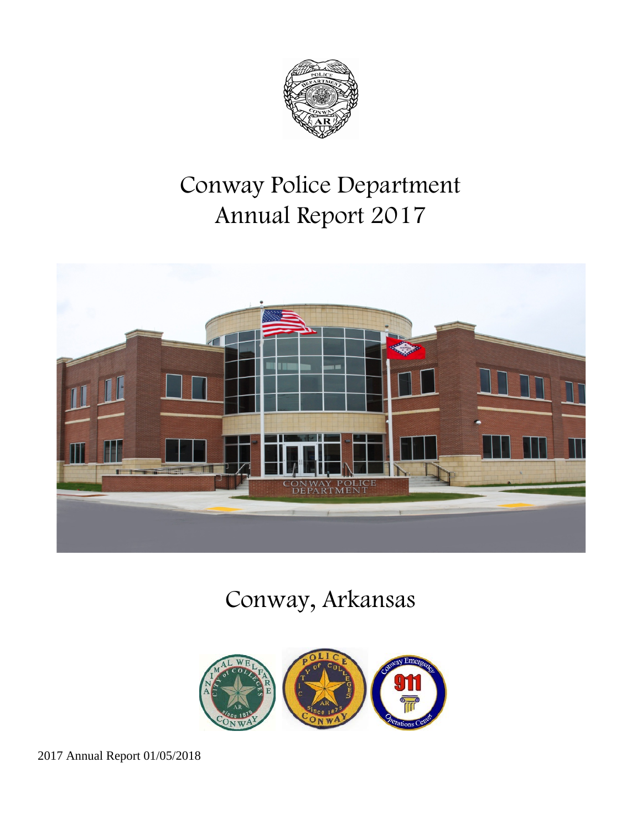

# Conway Police Department Annual Report 2017



# Conway, Arkansas

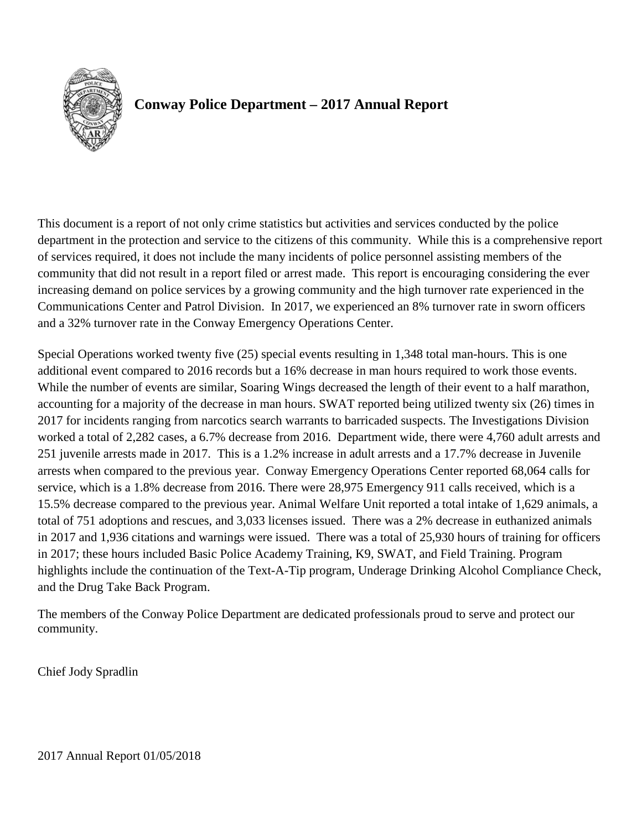

# **Conway Police Department – 2017 Annual Report**

This document is a report of not only crime statistics but activities and services conducted by the police department in the protection and service to the citizens of this community. While this is a comprehensive report of services required, it does not include the many incidents of police personnel assisting members of the community that did not result in a report filed or arrest made. This report is encouraging considering the ever increasing demand on police services by a growing community and the high turnover rate experienced in the Communications Center and Patrol Division. In 2017, we experienced an 8% turnover rate in sworn officers and a 32% turnover rate in the Conway Emergency Operations Center.

Special Operations worked twenty five (25) special events resulting in 1,348 total man-hours. This is one additional event compared to 2016 records but a 16% decrease in man hours required to work those events. While the number of events are similar, Soaring Wings decreased the length of their event to a half marathon, accounting for a majority of the decrease in man hours. SWAT reported being utilized twenty six (26) times in 2017 for incidents ranging from narcotics search warrants to barricaded suspects. The Investigations Division worked a total of 2,282 cases, a 6.7% decrease from 2016. Department wide, there were 4,760 adult arrests and 251 juvenile arrests made in 2017. This is a 1.2% increase in adult arrests and a 17.7% decrease in Juvenile arrests when compared to the previous year. Conway Emergency Operations Center reported 68,064 calls for service, which is a 1.8% decrease from 2016. There were 28,975 Emergency 911 calls received, which is a 15.5% decrease compared to the previous year. Animal Welfare Unit reported a total intake of 1,629 animals, a total of 751 adoptions and rescues, and 3,033 licenses issued. There was a 2% decrease in euthanized animals in 2017 and 1,936 citations and warnings were issued. There was a total of 25,930 hours of training for officers in 2017; these hours included Basic Police Academy Training, K9, SWAT, and Field Training. Program highlights include the continuation of the Text-A-Tip program, Underage Drinking Alcohol Compliance Check, and the Drug Take Back Program.

The members of the Conway Police Department are dedicated professionals proud to serve and protect our community.

Chief Jody Spradlin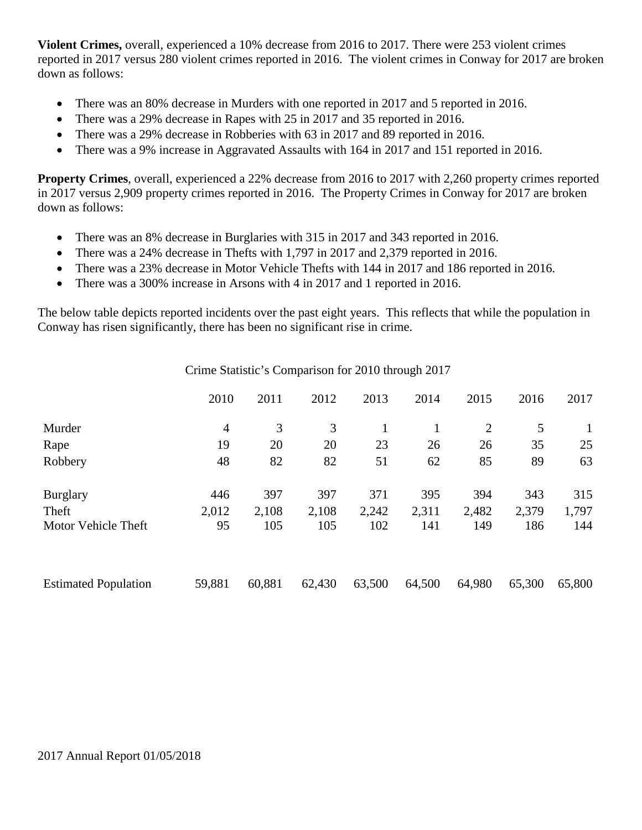**Violent Crimes,** overall, experienced a 10% decrease from 2016 to 2017. There were 253 violent crimes reported in 2017 versus 280 violent crimes reported in 2016. The violent crimes in Conway for 2017 are broken down as follows:

- There was an 80% decrease in Murders with one reported in 2017 and 5 reported in 2016.
- There was a 29% decrease in Rapes with 25 in 2017 and 35 reported in 2016.
- There was a 29% decrease in Robberies with 63 in 2017 and 89 reported in 2016.
- There was a 9% increase in Aggravated Assaults with 164 in 2017 and 151 reported in 2016.

**Property Crimes**, overall, experienced a 22% decrease from 2016 to 2017 with 2,260 property crimes reported in 2017 versus 2,909 property crimes reported in 2016. The Property Crimes in Conway for 2017 are broken down as follows:

- There was an 8% decrease in Burglaries with 315 in 2017 and 343 reported in 2016.
- There was a 24% decrease in Thefts with 1,797 in 2017 and 2,379 reported in 2016.
- There was a 23% decrease in Motor Vehicle Thefts with 144 in 2017 and 186 reported in 2016.
- There was a 300% increase in Arsons with 4 in 2017 and 1 reported in 2016.

The below table depicts reported incidents over the past eight years. This reflects that while the population in Conway has risen significantly, there has been no significant rise in crime.

|                             | 2010           | 2011   | 2012   | 2013   | 2014   | 2015           | 2016   | 2017   |
|-----------------------------|----------------|--------|--------|--------|--------|----------------|--------|--------|
| Murder                      | $\overline{4}$ | 3      | 3      |        |        | $\overline{2}$ | 5      | 1      |
| Rape                        | 19             | 20     | 20     | 23     | 26     | 26             | 35     | 25     |
| Robbery                     | 48             | 82     | 82     | 51     | 62     | 85             | 89     | 63     |
| <b>Burglary</b>             | 446            | 397    | 397    | 371    | 395    | 394            | 343    | 315    |
| Theft                       | 2,012          | 2,108  | 2,108  | 2,242  | 2,311  | 2,482          | 2,379  | 1,797  |
| Motor Vehicle Theft         | 95             | 105    | 105    | 102    | 141    | 149            | 186    | 144    |
| <b>Estimated Population</b> | 59,881         | 60,881 | 62,430 | 63,500 | 64,500 | 64,980         | 65,300 | 65,800 |

Crime Statistic's Comparison for 2010 through 2017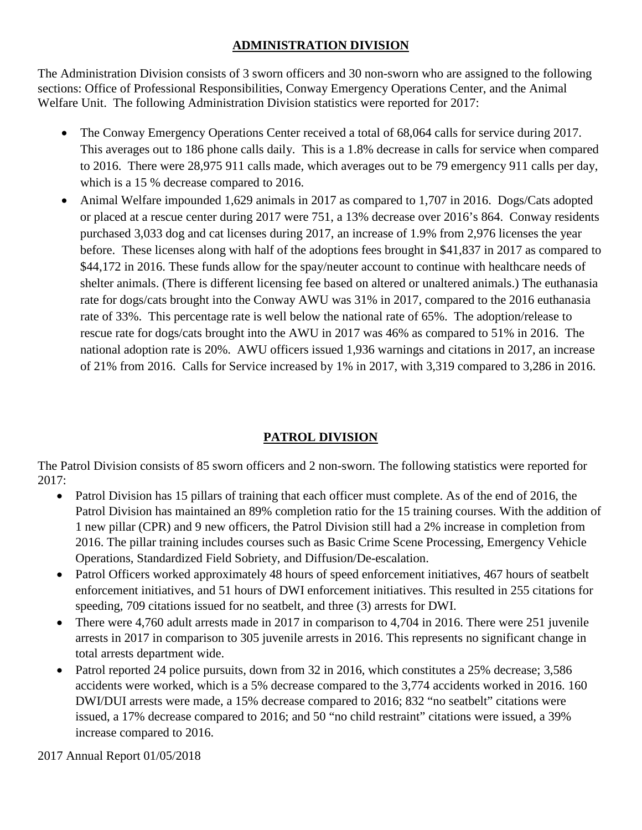# **ADMINISTRATION DIVISION**

The Administration Division consists of 3 sworn officers and 30 non-sworn who are assigned to the following sections: Office of Professional Responsibilities, Conway Emergency Operations Center, and the Animal Welfare Unit. The following Administration Division statistics were reported for 2017:

- The Conway Emergency Operations Center received a total of 68,064 calls for service during 2017. This averages out to 186 phone calls daily. This is a 1.8% decrease in calls for service when compared to 2016. There were 28,975 911 calls made, which averages out to be 79 emergency 911 calls per day, which is a 15 % decrease compared to 2016.
- Animal Welfare impounded 1,629 animals in 2017 as compared to 1,707 in 2016. Dogs/Cats adopted or placed at a rescue center during 2017 were 751, a 13% decrease over 2016's 864. Conway residents purchased 3,033 dog and cat licenses during 2017, an increase of 1.9% from 2,976 licenses the year before. These licenses along with half of the adoptions fees brought in \$41,837 in 2017 as compared to \$44,172 in 2016. These funds allow for the spay/neuter account to continue with healthcare needs of shelter animals. (There is different licensing fee based on altered or unaltered animals.) The euthanasia rate for dogs/cats brought into the Conway AWU was 31% in 2017, compared to the 2016 euthanasia rate of 33%. This percentage rate is well below the national rate of 65%. The adoption/release to rescue rate for dogs/cats brought into the AWU in 2017 was 46% as compared to 51% in 2016. The national adoption rate is 20%. AWU officers issued 1,936 warnings and citations in 2017, an increase of 21% from 2016. Calls for Service increased by 1% in 2017, with 3,319 compared to 3,286 in 2016.

# **PATROL DIVISION**

The Patrol Division consists of 85 sworn officers and 2 non-sworn. The following statistics were reported for 2017:

- Patrol Division has 15 pillars of training that each officer must complete. As of the end of 2016, the Patrol Division has maintained an 89% completion ratio for the 15 training courses. With the addition of 1 new pillar (CPR) and 9 new officers, the Patrol Division still had a 2% increase in completion from 2016. The pillar training includes courses such as Basic Crime Scene Processing, Emergency Vehicle Operations, Standardized Field Sobriety, and Diffusion/De-escalation.
- Patrol Officers worked approximately 48 hours of speed enforcement initiatives, 467 hours of seatbelt enforcement initiatives, and 51 hours of DWI enforcement initiatives. This resulted in 255 citations for speeding, 709 citations issued for no seatbelt, and three (3) arrests for DWI.
- There were 4,760 adult arrests made in 2017 in comparison to 4,704 in 2016. There were 251 juvenile arrests in 2017 in comparison to 305 juvenile arrests in 2016. This represents no significant change in total arrests department wide.
- Patrol reported 24 police pursuits, down from 32 in 2016, which constitutes a 25% decrease; 3,586 accidents were worked, which is a 5% decrease compared to the 3,774 accidents worked in 2016. 160 DWI/DUI arrests were made, a 15% decrease compared to 2016; 832 "no seatbelt" citations were issued, a 17% decrease compared to 2016; and 50 "no child restraint" citations were issued, a 39% increase compared to 2016.

2017 Annual Report 01/05/2018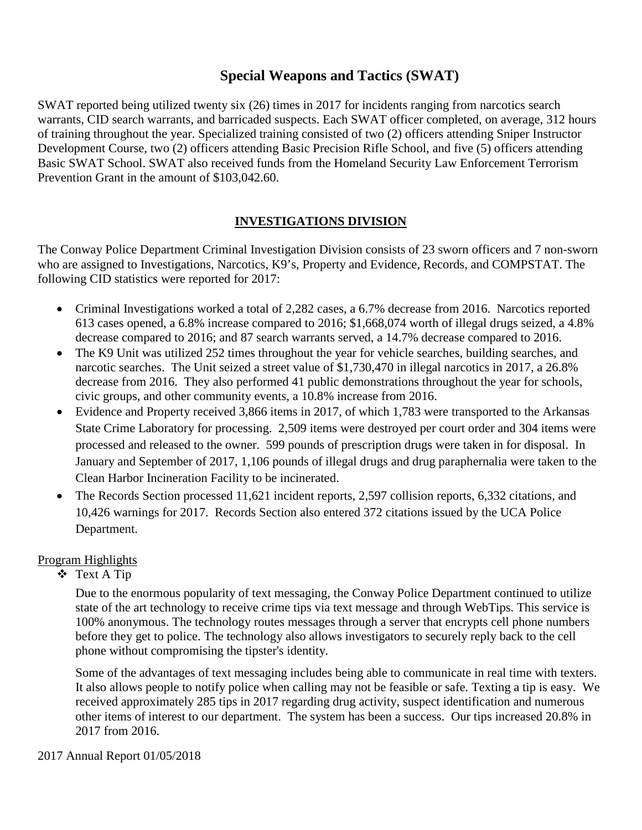# **Special Weapons and Tactics (SWAT)**

SWAT reported being utilized twenty six (26) times in 2017 for incidents ranging from narcotics search warrants, CID search warrants, and barricaded suspects. Each SWAT officer completed, on average, 312 hours of training throughout the year. Specialized training consisted of two (2) officers attending Sniper Instructor Development Course, two (2) officers attending Basic Precision Rifle School, and five (5) officers attending Basic SWAT School. SWAT also received funds from the Homeland Security Law Enforcement Terrorism Prevention Grant in the amount of \$103,042.60.

# **INVESTIGATIONS DIVISION**

The Conway Police Department Criminal Investigation Division consists of 23 sworn officers and 7 non-sworn who are assigned to Investigations, Narcotics, K9's, Property and Evidence, Records, and COMPSTAT. The following CID statistics were reported for 2017:

- Criminal Investigations worked a total of 2,282 cases, a 6.7% decrease from 2016. Narcotics reported 613 cases opened, a 6.8% increase compared to 2016; \$1,668,074 worth of illegal drugs seized, a 4.8% decrease compared to 2016; and 87 search warrants served, a 14.7% decrease compared to 2016.
- The K9 Unit was utilized 252 times throughout the year for vehicle searches, building searches, and narcotic searches. The Unit seized a street value of \$1,730,470 in illegal narcotics in 2017, a 26.8% decrease from 2016. They also performed 41 public demonstrations throughout the year for schools, civic groups, and other community events, a 10.8% increase from 2016.
- Evidence and Property received 3,866 items in 2017, of which 1,783 were transported to the Arkansas State Crime Laboratory for processing. 2,509 items were destroyed per court order and 304 items were processed and released to the owner. 599 pounds of prescription drugs were taken in for disposal. In January and September of 2017, 1,106 pounds of illegal drugs and drug paraphernalia were taken to the Clean Harbor Incineration Facility to be incinerated.
- The Records Section processed 11,621 incident reports, 2,597 collision reports, 6,332 citations, and 10,426 warnings for 2017. Records Section also entered 372 citations issued by the UCA Police Department.

# Program Highlights

Text A Tip

Due to the enormous popularity of text messaging, the Conway Police Department continued to utilize state of the art technology to receive crime tips via text message and through WebTips. This service is 100% anonymous. The technology routes messages through a server that encrypts cell phone numbers before they get to police. The technology also allows investigators to securely reply back to the cell phone without compromising the tipster's identity.

Some of the advantages of text messaging includes being able to communicate in real time with texters. It also allows people to notify police when calling may not be feasible or safe. Texting a tip is easy. We received approximately 285 tips in 2017 regarding drug activity, suspect identification and numerous other items of interest to our department. The system has been a success. Our tips increased 20.8% in 2017 from 2016.

#### 2017 Annual Report 01/05/2018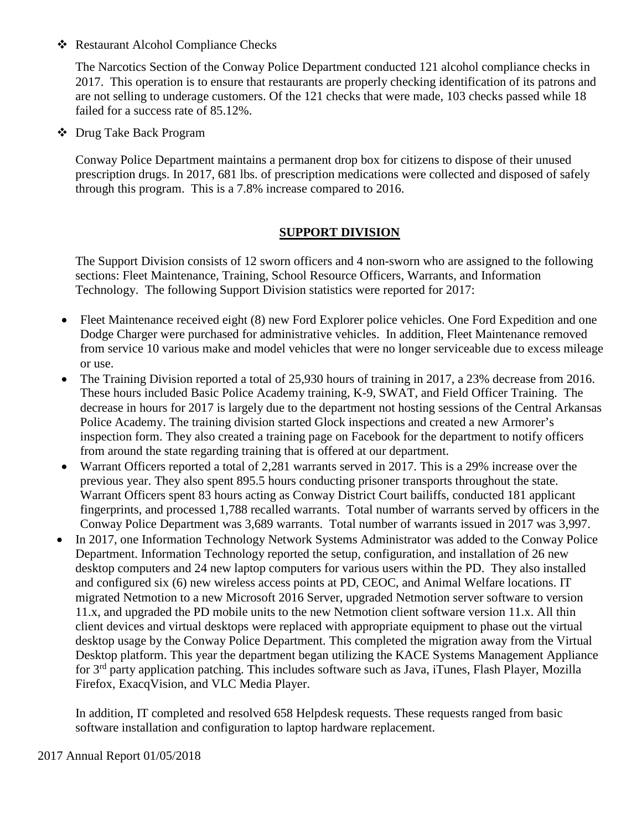❖ Restaurant Alcohol Compliance Checks

The Narcotics Section of the Conway Police Department conducted 121 alcohol compliance checks in 2017. This operation is to ensure that restaurants are properly checking identification of its patrons and are not selling to underage customers. Of the 121 checks that were made, 103 checks passed while 18 failed for a success rate of 85.12%.

Drug Take Back Program

Conway Police Department maintains a permanent drop box for citizens to dispose of their unused prescription drugs. In 2017, 681 lbs. of prescription medications were collected and disposed of safely through this program. This is a 7.8% increase compared to 2016.

## **SUPPORT DIVISION**

The Support Division consists of 12 sworn officers and 4 non-sworn who are assigned to the following sections: Fleet Maintenance, Training, School Resource Officers, Warrants, and Information Technology. The following Support Division statistics were reported for 2017:

- Fleet Maintenance received eight (8) new Ford Explorer police vehicles. One Ford Expedition and one Dodge Charger were purchased for administrative vehicles. In addition, Fleet Maintenance removed from service 10 various make and model vehicles that were no longer serviceable due to excess mileage or use.
- The Training Division reported a total of 25,930 hours of training in 2017, a 23% decrease from 2016. These hours included Basic Police Academy training, K-9, SWAT, and Field Officer Training. The decrease in hours for 2017 is largely due to the department not hosting sessions of the Central Arkansas Police Academy. The training division started Glock inspections and created a new Armorer's inspection form. They also created a training page on Facebook for the department to notify officers from around the state regarding training that is offered at our department.
- Warrant Officers reported a total of 2,281 warrants served in 2017. This is a 29% increase over the previous year. They also spent 895.5 hours conducting prisoner transports throughout the state. Warrant Officers spent 83 hours acting as Conway District Court bailiffs, conducted 181 applicant fingerprints, and processed 1,788 recalled warrants. Total number of warrants served by officers in the Conway Police Department was 3,689 warrants. Total number of warrants issued in 2017 was 3,997.
- In 2017, one Information Technology Network Systems Administrator was added to the Conway Police Department. Information Technology reported the setup, configuration, and installation of 26 new desktop computers and 24 new laptop computers for various users within the PD. They also installed and configured six (6) new wireless access points at PD, CEOC, and Animal Welfare locations. IT migrated Netmotion to a new Microsoft 2016 Server, upgraded Netmotion server software to version 11.x, and upgraded the PD mobile units to the new Netmotion client software version 11.x. All thin client devices and virtual desktops were replaced with appropriate equipment to phase out the virtual desktop usage by the Conway Police Department. This completed the migration away from the Virtual Desktop platform. This year the department began utilizing the KACE Systems Management Appliance for 3rd party application patching. This includes software such as Java, iTunes, Flash Player, Mozilla Firefox, ExacqVision, and VLC Media Player.

In addition, IT completed and resolved 658 Helpdesk requests. These requests ranged from basic software installation and configuration to laptop hardware replacement.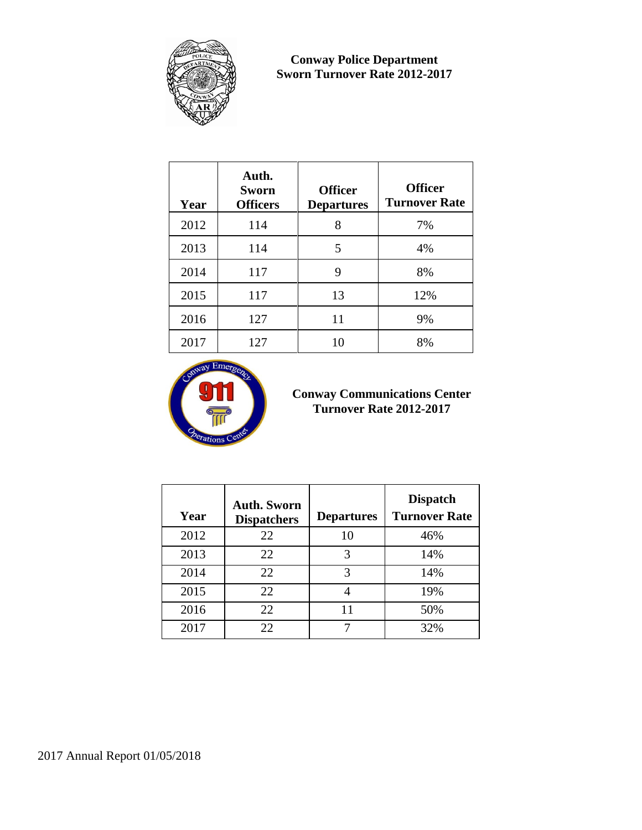

**Conway Police Department Sworn Turnover Rate 2012-2017**

| Year | Auth.<br><b>Sworn</b><br><b>Officers</b> | <b>Officer</b><br><b>Departures</b> | <b>Officer</b><br><b>Turnover Rate</b> |
|------|------------------------------------------|-------------------------------------|----------------------------------------|
| 2012 | 114                                      | 8                                   | 7%                                     |
| 2013 | 114                                      | 5                                   | 4%                                     |
| 2014 | 117                                      | 9                                   | 8%                                     |
| 2015 | 117                                      | 13                                  | 12%                                    |
| 2016 | 127                                      | 11                                  | 9%                                     |
| 2017 | 127                                      | 10                                  | 8%                                     |



## **Conway Communications Center Turnover Rate 2012-2017**

| Year | <b>Auth. Sworn</b><br><b>Dispatchers</b> | <b>Departures</b> | <b>Dispatch</b><br><b>Turnover Rate</b> |
|------|------------------------------------------|-------------------|-----------------------------------------|
| 2012 | 22                                       | 10                | 46%                                     |
| 2013 | 22                                       | 3                 | 14%                                     |
| 2014 | 22                                       | 3                 | 14%                                     |
| 2015 | 22                                       |                   | 19%                                     |
| 2016 | 22                                       | 11                | 50%                                     |
| 2017 | 22                                       |                   | 32%                                     |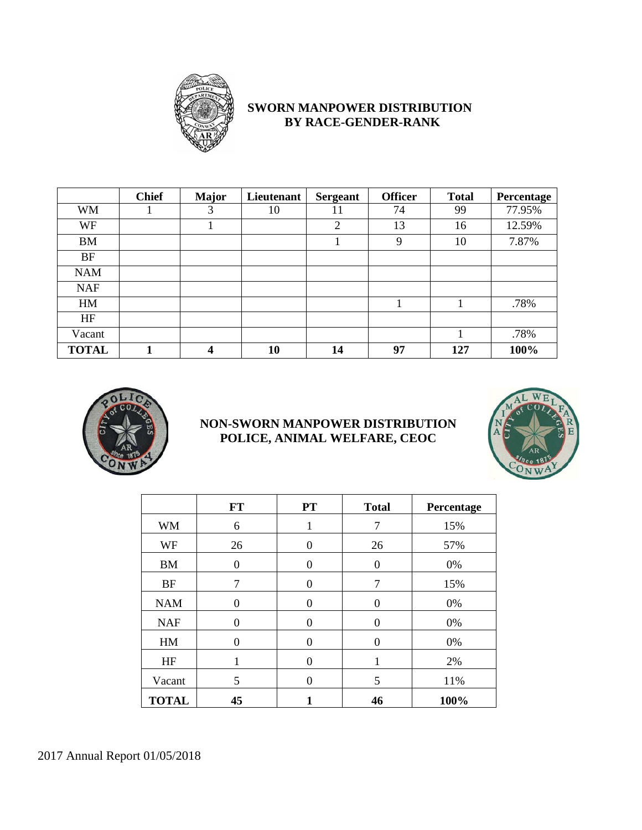

# **SWORN MANPOWER DISTRIBUTION BY RACE-GENDER-RANK**

|              | <b>Chief</b> | <b>Major</b> | Lieutenant | <b>Sergeant</b> | <b>Officer</b> | <b>Total</b> | Percentage |
|--------------|--------------|--------------|------------|-----------------|----------------|--------------|------------|
| <b>WM</b>    |              | 3            | 10         | 11              | 74             | 99           | 77.95%     |
| WF           |              |              |            | 2               | 13             | 16           | 12.59%     |
| <b>BM</b>    |              |              |            |                 | 9              | 10           | 7.87%      |
| <b>BF</b>    |              |              |            |                 |                |              |            |
| <b>NAM</b>   |              |              |            |                 |                |              |            |
| <b>NAF</b>   |              |              |            |                 |                |              |            |
| HM           |              |              |            |                 |                |              | .78%       |
| HF           |              |              |            |                 |                |              |            |
| Vacant       |              |              |            |                 |                |              | .78%       |
| <b>TOTAL</b> | 1            | 4            | 10         | 14              | 97             | 127          | 100%       |



# **NON-SWORN MANPOWER DISTRIBUTION POLICE, ANIMAL WELFARE, CEOC**



|              | FT | <b>PT</b> | <b>Total</b> | Percentage |
|--------------|----|-----------|--------------|------------|
| <b>WM</b>    | 6  | 1         | 7            | 15%        |
| WF           | 26 | $\Omega$  | 26           | 57%        |
| <b>BM</b>    | 0  | $\Omega$  | $\theta$     | 0%         |
| <b>BF</b>    | 7  | 0         | 7            | 15%        |
| <b>NAM</b>   | 0  | $\Omega$  | $\theta$     | 0%         |
| <b>NAF</b>   | 0  | $\Omega$  | $\Omega$     | 0%         |
| HM           | 0  | $\Omega$  | $\Omega$     | 0%         |
| HF           | 1  | $\Omega$  | 1            | 2%         |
| Vacant       | 5  | 0         | 5            | 11%        |
| <b>TOTAL</b> | 45 |           | 46           | 100%       |